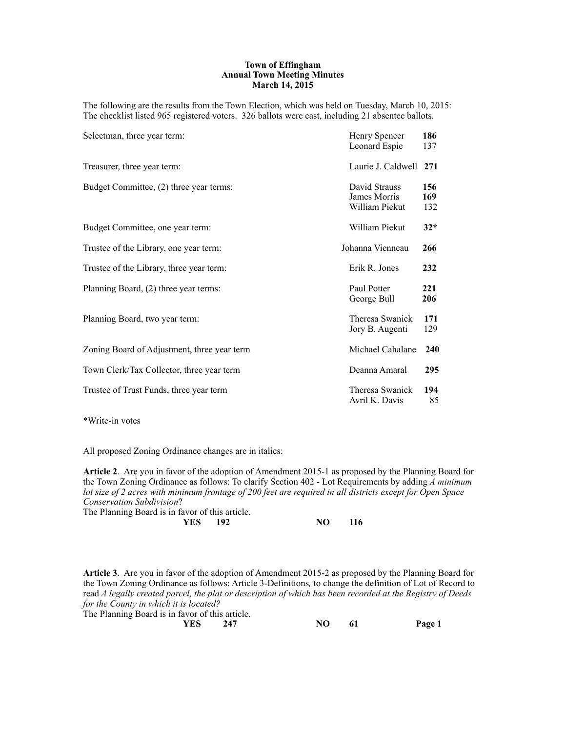#### **Town of Effingham Annual Town Meeting Minutes March 14, 2015**

The following are the results from the Town Election, which was held on Tuesday, March 10, 2015: The checklist listed 965 registered voters. 326 ballots were cast, including 21 absentee ballots.

| Selectman, three year term:                 | Henry Spencer<br>Leonard Espie                  | 186<br>137        |
|---------------------------------------------|-------------------------------------------------|-------------------|
| Treasurer, three year term:                 | Laurie J. Caldwell 271                          |                   |
| Budget Committee, (2) three year terms:     | David Strauss<br>James Morris<br>William Piekut | 156<br>169<br>132 |
| Budget Committee, one year term:            | William Piekut                                  | $32*$             |
| Trustee of the Library, one year term:      | Johanna Vienneau                                | 266               |
| Trustee of the Library, three year term:    | Erik R. Jones                                   | 232               |
| Planning Board, (2) three year terms:       | Paul Potter<br>George Bull                      | 221<br>206        |
| Planning Board, two year term:              | Theresa Swanick<br>Jory B. Augenti              | 171<br>129        |
| Zoning Board of Adjustment, three year term | Michael Cahalane                                | 240               |
| Town Clerk/Tax Collector, three year term   | Deanna Amaral                                   | 295               |
| Trustee of Trust Funds, three year term     | Theresa Swanick<br>Avril K. Davis               | 194<br>85         |

\*Write-in votes

All proposed Zoning Ordinance changes are in italics:

**Article 2**. Are you in favor of the adoption of Amendment 2015-1 as proposed by the Planning Board for the Town Zoning Ordinance as follows: To clarify Section 402 - Lot Requirements by adding *A minimum lot size of 2 acres with minimum frontage of 200 feet are required in all districts except for Open Space Conservation Subdivision*?

The Planning Board is in favor of this article.

|  | <b>YES</b> 192 |  | NO 116 |
|--|----------------|--|--------|
|  |                |  |        |

**Article 3**. Are you in favor of the adoption of Amendment 2015-2 as proposed by the Planning Board for the Town Zoning Ordinance as follows: Article 3-Definitions*,* to change the definition of Lot of Record to read *A legally created parcel, the plat or description of which has been recorded at the Registry of Deeds for the County in which it is located?*

The Planning Board is in favor of this article.

| <b>YES</b><br>247<br>_____ | NO. | -61<br>__ | Page 1 |
|----------------------------|-----|-----------|--------|
|----------------------------|-----|-----------|--------|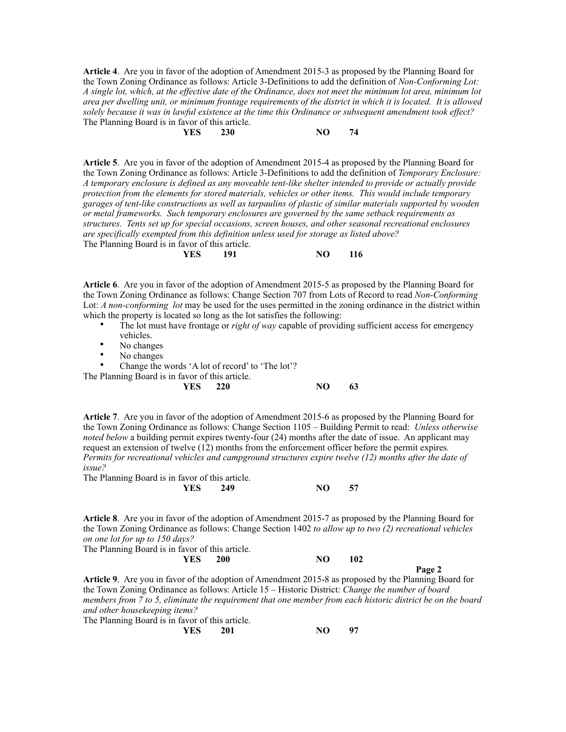**Article 4**. Are you in favor of the adoption of Amendment 2015-3 as proposed by the Planning Board for the Town Zoning Ordinance as follows: Article 3-Definitions to add the definition of *Non-Conforming Lot: A single lot, which, at the effective date of the Ordinance, does not meet the minimum lot area, minimum lot area per dwelling unit, or minimum frontage requirements of the district in which it is located. It is allowed solely because it was in lawful existence at the time this Ordinance or subsequent amendment took effect?* The Planning Board is in favor of this article. **YES** 230 NO 74

**Article 5**. Are you in favor of the adoption of Amendment 2015-4 as proposed by the Planning Board for the Town Zoning Ordinance as follows: Article 3-Definitions to add the definition of *Temporary Enclosure: A temporary enclosure is defined as any moveable tent-like shelter intended to provide or actually provide protection from the elements for stored materials, vehicles or other items. This would include temporary garages of tent-like constructions as well as tarpaulins of plastic of similar materials supported by wooden or metal frameworks. Such temporary enclosures are governed by the same setback requirements as structures. Tents set up for special occasions, screen houses, and other seasonal recreational enclosures are specifically exempted from this definition unless used for storage as listed above?* The Planning Board is in favor of this article.<br>
YES 191 **YES** 191 NO 116

**Article 6**. Are you in favor of the adoption of Amendment 2015-5 as proposed by the Planning Board for the Town Zoning Ordinance as follows: Change Section 707 from Lots of Record to read *Non-Conforming* Lot: *A non-conforming lot* may be used for the uses permitted in the zoning ordinance in the district within which the property is located so long as the lot satisfies the following:

- The lot must have frontage or *right of way* capable of providing sufficient access for emergency vehicles.
- No changes
- No changes

Change the words 'A lot of record' to 'The lot'?

The Planning Board is

| The Planning Board is in favor of this article. |     |    |
|-------------------------------------------------|-----|----|
| <b>YES</b> 220                                  | NO. | 63 |

**Article 7**. Are you in favor of the adoption of Amendment 2015-6 as proposed by the Planning Board for the Town Zoning Ordinance as follows: Change Section 1105 – Building Permit to read: *Unless otherwise noted below* a building permit expires twenty-four (24) months after the date of issue. An applicant may request an extension of twelve (12) months from the enforcement officer before the permit expires*. Permits for recreational vehicles and campground structures expire twelve (12) months after the date of issue?*

The Planning Board is in favor of this article.

|  | YES 249 | NO | 57 |
|--|---------|----|----|
|  |         |    |    |

**Article 8**. Are you in favor of the adoption of Amendment 2015-7 as proposed by the Planning Board for the Town Zoning Ordinance as follows: Change Section 1402 *to allow up to two (2) recreational vehicles on one lot for up to 150 days?*

| The Planning Board is in favor of this article. |            |    |     |        |
|-------------------------------------------------|------------|----|-----|--------|
| YES.                                            | <b>200</b> | NО | 102 |        |
|                                                 |            |    |     | Page 2 |

**Article 9**. Are you in favor of the adoption of Amendment 2015-8 as proposed by the Planning Board for the Town Zoning Ordinance as follows: Article 15 – Historic District: *Change the number of board members from 7 to 5, eliminate the requirement that one member from each historic district be on the board and other housekeeping items?*

The Planning Board is in favor of this article.

**YES 201 NO 97**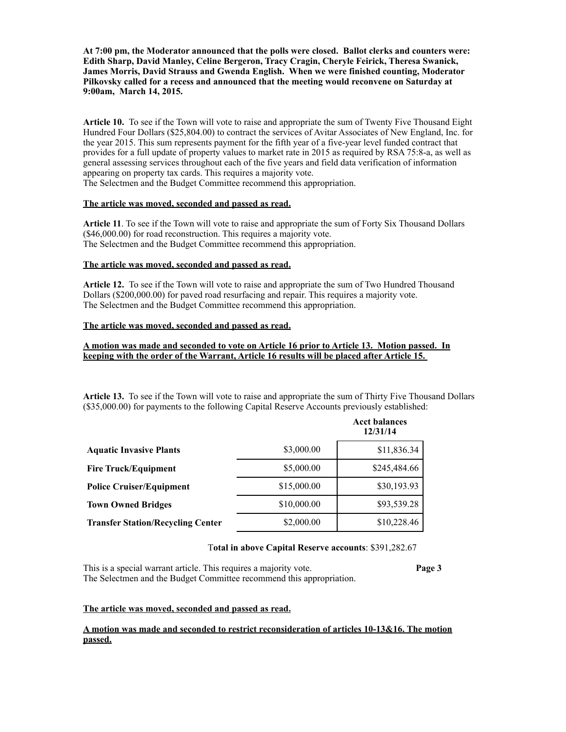**At 7:00 pm, the Moderator announced that the polls were closed. Ballot clerks and counters were: Edith Sharp, David Manley, Celine Bergeron, Tracy Cragin, Cheryle Feirick, Theresa Swanick, James Morris, David Strauss and Gwenda English. When we were finished counting, Moderator Pilkovsky called for a recess and announced that the meeting would reconvene on Saturday at 9:00am, March 14, 2015.**

**Article 10.** To see if the Town will vote to raise and appropriate the sum of Twenty Five Thousand Eight Hundred Four Dollars (\$25,804.00) to contract the services of Avitar Associates of New England, Inc. for the year 2015. This sum represents payment for the fifth year of a five-year level funded contract that provides for a full update of property values to market rate in 2015 as required by RSA 75:8-a, as well as general assessing services throughout each of the five years and field data verification of information appearing on property tax cards. This requires a majority vote. The Selectmen and the Budget Committee recommend this appropriation.

#### **The article was moved, seconded and passed as read.**

**Article 11**. To see if the Town will vote to raise and appropriate the sum of Forty Six Thousand Dollars (\$46,000.00) for road reconstruction. This requires a majority vote. The Selectmen and the Budget Committee recommend this appropriation.

#### **The article was moved, seconded and passed as read.**

**Article 12.** To see if the Town will vote to raise and appropriate the sum of Two Hundred Thousand Dollars (\$200,000.00) for paved road resurfacing and repair. This requires a majority vote. The Selectmen and the Budget Committee recommend this appropriation.

## **The article was moved, seconded and passed as read.**

## **A motion was made and seconded to vote on Article 16 prior to Article 13. Motion passed. In keeping with the order of the Warrant, Article 16 results will be placed after Article 15.**

**Article 13.** To see if the Town will vote to raise and appropriate the sum of Thirty Five Thousand Dollars (\$35,000.00) for payments to the following Capital Reserve Accounts previously established:

|                                          |             | <b>Acct balances</b><br>12/31/14 |
|------------------------------------------|-------------|----------------------------------|
| <b>Aquatic Invasive Plants</b>           | \$3,000.00  | \$11,836.34                      |
| <b>Fire Truck/Equipment</b>              | \$5,000.00  | \$245,484.66                     |
| <b>Police Cruiser/Equipment</b>          | \$15,000.00 | \$30,193.93                      |
| <b>Town Owned Bridges</b>                | \$10,000.00 | \$93,539.28                      |
| <b>Transfer Station/Recycling Center</b> | \$2,000.00  | \$10,228.46                      |

#### T**otal in above Capital Reserve accounts**: \$391,282.67

This is a special warrant article. This requires a majority vote. **Page 3** The Selectmen and the Budget Committee recommend this appropriation.

#### **The article was moved, seconded and passed as read.**

#### **A motion was made and seconded to restrict reconsideration of articles 10-13&16. The motion passed.**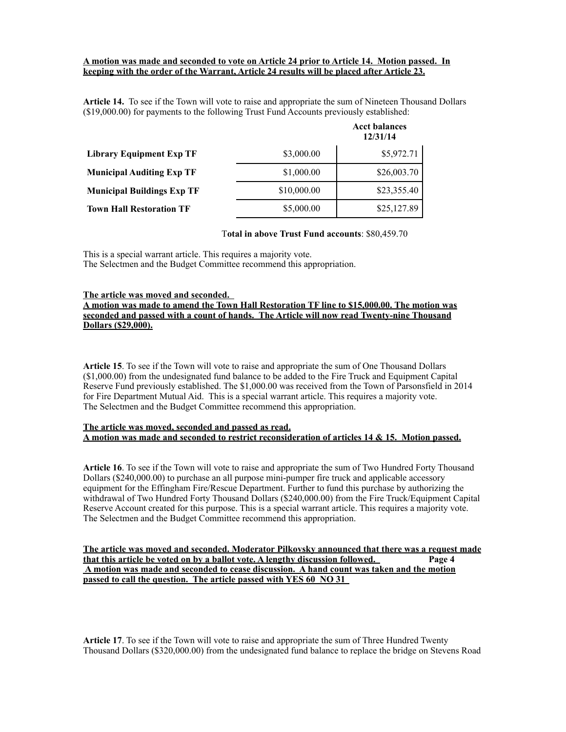#### **A motion was made and seconded to vote on Article 24 prior to Article 14. Motion passed. In keeping with the order of the Warrant, Article 24 results will be placed after Article 23.**

**Article 14.** To see if the Town will vote to raise and appropriate the sum of Nineteen Thousand Dollars (\$19,000.00) for payments to the following Trust Fund Accounts previously established:

|                                   |             | <b>Acct balances</b><br>12/31/14 |
|-----------------------------------|-------------|----------------------------------|
| Library Equipment Exp TF          | \$3,000.00  | \$5,972.71                       |
| <b>Municipal Auditing Exp TF</b>  | \$1,000.00  | \$26,003.70                      |
| <b>Municipal Buildings Exp TF</b> | \$10,000.00 | \$23,355.40                      |
| <b>Town Hall Restoration TF</b>   | \$5,000.00  | \$25,127.89                      |

#### T**otal in above Trust Fund accounts**: \$80,459.70

This is a special warrant article. This requires a majority vote. The Selectmen and the Budget Committee recommend this appropriation.

#### **The article was moved and seconded.**

**A motion was made to amend the Town Hall Restoration TF line to \$15,000.00. The motion was seconded and passed with a count of hands. The Article will now read Twenty-nine Thousand Dollars (\$29,000).**

**Article 15**. To see if the Town will vote to raise and appropriate the sum of One Thousand Dollars (\$1,000.00) from the undesignated fund balance to be added to the Fire Truck and Equipment Capital Reserve Fund previously established. The \$1,000.00 was received from the Town of Parsonsfield in 2014 for Fire Department Mutual Aid. This is a special warrant article. This requires a majority vote. The Selectmen and the Budget Committee recommend this appropriation.

#### **The article was moved, seconded and passed as read. A motion was made and seconded to restrict reconsideration of articles 14 & 15. Motion passed.**

**Article 16**. To see if the Town will vote to raise and appropriate the sum of Two Hundred Forty Thousand Dollars (\$240,000.00) to purchase an all purpose mini-pumper fire truck and applicable accessory equipment for the Effingham Fire/Rescue Department. Further to fund this purchase by authorizing the withdrawal of Two Hundred Forty Thousand Dollars (\$240,000.00) from the Fire Truck/Equipment Capital Reserve Account created for this purpose. This is a special warrant article. This requires a majority vote. The Selectmen and the Budget Committee recommend this appropriation.

**The article was moved and seconded. Moderator Pilkovsky announced that there was a request made that this article be voted on by a ballot vote. A lengthy discussion followed. Page 4 A motion was made and seconded to cease discussion. A hand count was taken and the motion passed to call the question. The article passed with YES 60 NO 31** 

**Article 17**. To see if the Town will vote to raise and appropriate the sum of Three Hundred Twenty Thousand Dollars (\$320,000.00) from the undesignated fund balance to replace the bridge on Stevens Road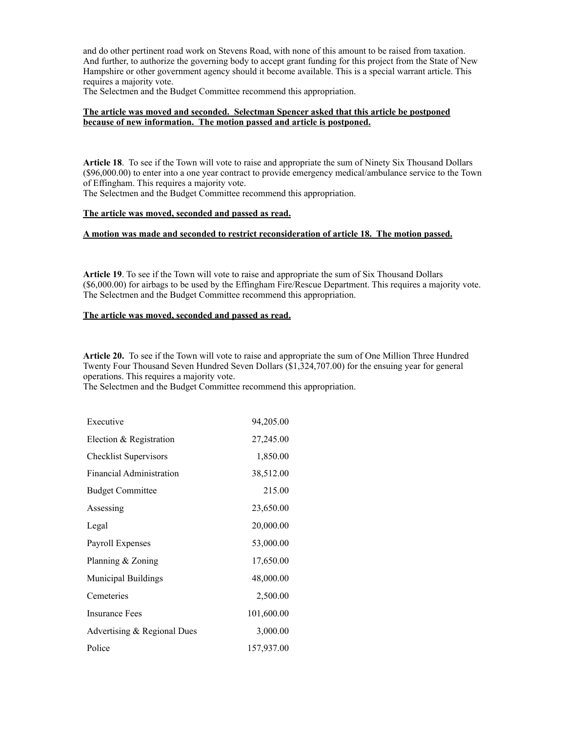and do other pertinent road work on Stevens Road, with none of this amount to be raised from taxation. And further, to authorize the governing body to accept grant funding for this project from the State of New Hampshire or other government agency should it become available. This is a special warrant article. This requires a majority vote.

The Selectmen and the Budget Committee recommend this appropriation.

### **The article was moved and seconded. Selectman Spencer asked that this article be postponed because of new information. The motion passed and article is postponed.**

**Article 18**. To see if the Town will vote to raise and appropriate the sum of Ninety Six Thousand Dollars (\$96,000.00) to enter into a one year contract to provide emergency medical/ambulance service to the Town of Effingham. This requires a majority vote.

The Selectmen and the Budget Committee recommend this appropriation.

#### **The article was moved, seconded and passed as read.**

# **A motion was made and seconded to restrict reconsideration of article 18. The motion passed.**

**Article 19**. To see if the Town will vote to raise and appropriate the sum of Six Thousand Dollars (\$6,000.00) for airbags to be used by the Effingham Fire/Rescue Department. This requires a majority vote. The Selectmen and the Budget Committee recommend this appropriation.

# **The article was moved, seconded and passed as read.**

**Article 20.** To see if the Town will vote to raise and appropriate the sum of One Million Three Hundred Twenty Four Thousand Seven Hundred Seven Dollars (\$1,324,707.00) for the ensuing year for general operations. This requires a majority vote.

The Selectmen and the Budget Committee recommend this appropriation.

| Executive                    | 94,205.00  |
|------------------------------|------------|
| Election & Registration      | 27,245.00  |
| <b>Checklist Supervisors</b> | 1,850.00   |
| Financial Administration     | 38,512.00  |
| <b>Budget Committee</b>      | 215.00     |
| Assessing                    | 23,650.00  |
| Legal                        | 20,000.00  |
| Payroll Expenses             | 53,000.00  |
| Planning & Zoning            | 17,650.00  |
| <b>Municipal Buildings</b>   | 48,000.00  |
| Cemeteries                   | 2,500.00   |
| <b>Insurance Fees</b>        | 101,600.00 |
| Advertising & Regional Dues  | 3,000.00   |
| Police                       | 157,937.00 |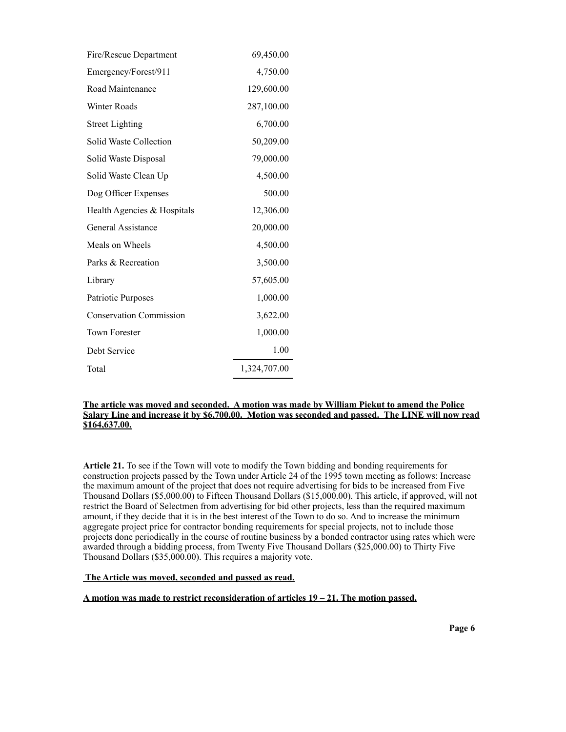| Fire/Rescue Department         | 69,450.00    |
|--------------------------------|--------------|
| Emergency/Forest/911           | 4,750.00     |
| Road Maintenance               | 129,600.00   |
| Winter Roads                   | 287,100.00   |
| <b>Street Lighting</b>         | 6,700.00     |
| Solid Waste Collection         | 50,209.00    |
| Solid Waste Disposal           | 79,000.00    |
| Solid Waste Clean Up           | 4,500.00     |
| Dog Officer Expenses           | 500.00       |
| Health Agencies & Hospitals    | 12,306.00    |
| <b>General Assistance</b>      | 20,000.00    |
| Meals on Wheels                | 4,500.00     |
| Parks & Recreation             | 3,500.00     |
| Library                        | 57,605.00    |
| Patriotic Purposes             | 1,000.00     |
| <b>Conservation Commission</b> | 3,622.00     |
| <b>Town Forester</b>           | 1,000.00     |
| Debt Service                   | 1.00         |
| Total                          | 1,324,707.00 |

## **The article was moved and seconded. A motion was made by William Piekut to amend the Police Salary Line and increase it by \$6,700.00. Motion was seconded and passed. The LINE will now read \$164,637.00.**

**Article 21.** To see if the Town will vote to modify the Town bidding and bonding requirements for construction projects passed by the Town under Article 24 of the 1995 town meeting as follows: Increase the maximum amount of the project that does not require advertising for bids to be increased from Five Thousand Dollars (\$5,000.00) to Fifteen Thousand Dollars (\$15,000.00). This article, if approved, will not restrict the Board of Selectmen from advertising for bid other projects, less than the required maximum amount, if they decide that it is in the best interest of the Town to do so. And to increase the minimum aggregate project price for contractor bonding requirements for special projects, not to include those projects done periodically in the course of routine business by a bonded contractor using rates which were awarded through a bidding process, from Twenty Five Thousand Dollars (\$25,000.00) to Thirty Five Thousand Dollars (\$35,000.00). This requires a majority vote.

# **The Article was moved, seconded and passed as read.**

#### **A motion was made to restrict reconsideration of articles 19 – 21. The motion passed.**